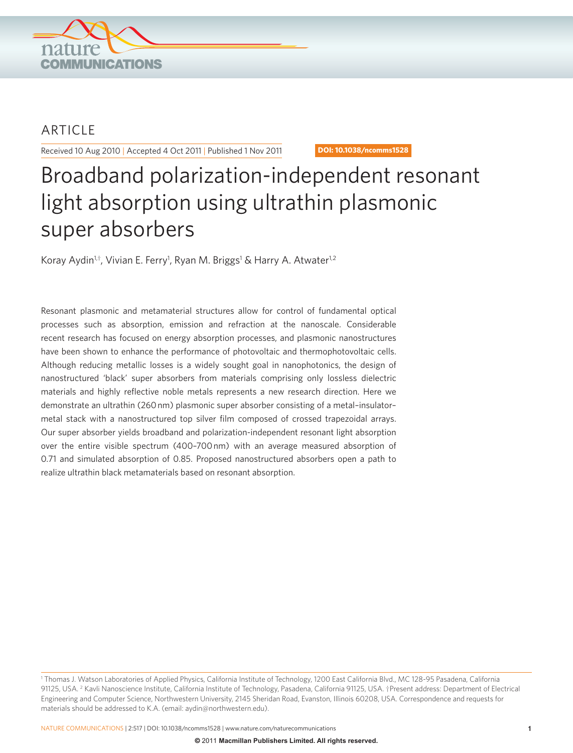

## ARTICLE

Received 10 Aug 2010 | Accepted 4 Oct 2011 | Published 1 Nov 2011 **DOI: 10.1038/ncomms1528** 

# Broadband polarization-independent resonant light absorption using ultrathin plasmonic super absorbers

Koray Aydin<sup>1,†</sup>, Vivian E. Ferry<sup>1</sup>, Ryan M. Briggs<sup>1</sup> & Harry A. Atwater<sup>1,2</sup>

 Resonant plasmonic and metamaterial structures allow for control of fundamental optical processes such as absorption, emission and refraction at the nanoscale. Considerable recent research has focused on energy absorption processes, and plasmonic nanostructures have been shown to enhance the performance of photovoltaic and thermophotovoltaic cells. Although reducing metallic losses is a widely sought goal in nanophotonics, the design of nanostructured 'black' super absorbers from materials comprising only lossless dielectric materials and highly reflective noble metals represents a new research direction. Here we demonstrate an ultrathin (260 nm) plasmonic super absorber consisting of a metal-insulatormetal stack with a nanostructured top silver film composed of crossed trapezoidal arrays. Our super absorber yields broadband and polarization-independent resonant light absorption over the entire visible spectrum (400-700 nm) with an average measured absorption of 0.71 and simulated absorption of 0.85. Proposed nanostructured absorbers open a path to realize ultrathin black metamaterials based on resonant absorption.

<sup>&#</sup>x27; Thomas J. Watson Laboratories of Applied Physics, California Institute of Technology, 1200 East California Blvd., MC 128-95 Pasadena, California 91125, USA. <sup>2</sup> Kavli Nanoscience Institute, California Institute of Technology, Pasadena, California 91125, USA. †Present address: Department of Electrical Engineering and Computer Science, Northwestern University, 2145 Sheridan Road, Evanston, Illinois 60208, USA. Correspondence and requests for materials should be addressed to K.A. (email: aydin@northwestern.edu).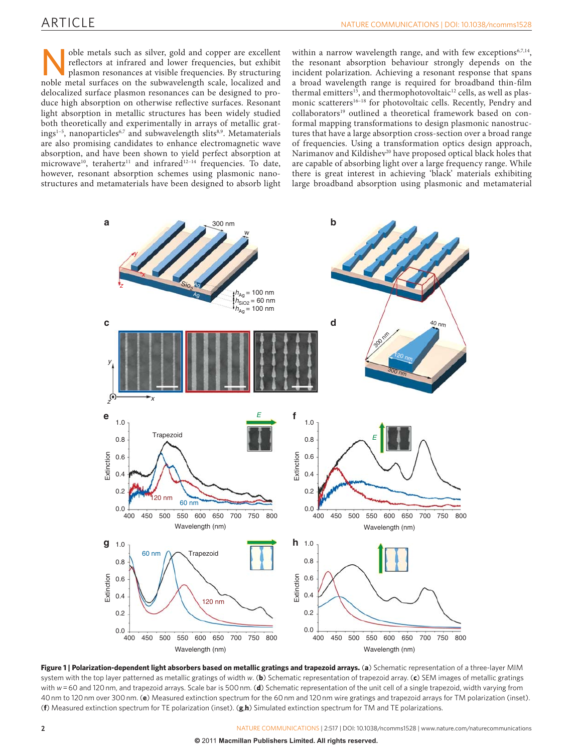## ARTICLE

such as silver, gold and copper are excellent<br>reflectors at infrared and lower frequencies, but exhibit<br>plasmon resonances at visible frequencies. By structuring<br>noble metal surfaces on the subwavelength scale. localized a reflectors at infrared and lower frequencies, but exhibit plasmon resonances at visible frequencies. By structuring noble metal surfaces on the subwavelength scale, localized and delocalized surface plasmon resonances can be designed to produce high absorption on otherwise reflective surfaces. Resonant light absorption in metallic structures has been widely studied both theoretically and experimentally in arrays of metallic gratings<sup>1-5</sup>, nanoparticles<sup>6,7</sup> and subwavelength slits<sup>8,9</sup>. Metamaterials are also promising candidates to enhance electromagnetic wave absorption, and have been shown to yield perfect absorption at microwave<sup>10</sup>, terahertz<sup>11</sup> and infrared<sup>12-14</sup> frequencies. To date, however, resonant absorption schemes using plasmonic nanostructures and metamaterials have been designed to absorb light within a narrow wavelength range, and with few exceptions<sup>6,7,14</sup>, the resonant absorption behaviour strongly depends on the incident polarization. Achieving a resonant response that spans a broad wavelength range is required for broadband thin-film thermal emitters<sup>15</sup>, and thermophotovoltaic<sup>12</sup> cells, as well as plasmonic scatterers<sup>16-18</sup> for photovoltaic cells. Recently, Pendry and collaborators<sup>19</sup> outlined a theoretical framework based on conformal mapping transformations to design plasmonic nanostructures that have a large absorption cross-section over a broad range of frequencies. Using a transformation optics design approach, Narimanov and Kildishev<sup>20</sup> have proposed optical black holes that are capable of absorbing light over a large frequency range. While there is great interest in achieving 'black' materials exhibiting large broadband absorption using plasmonic and metamaterial



**Figure 1 | Polarization-dependent light absorbers based on metallic gratings and trapezoid arrays. (a)** Schematic representation of a three-layer MIM system with the top layer patterned as metallic gratings of width *w* . ( **b** ) Schematic representation of trapezoid array. ( **c** ) SEM images of metallic gratings with  $w = 60$  and 120 nm, and trapezoid arrays. Scale bar is 500 nm. (**d**) Schematic representation of the unit cell of a single trapezoid, width varying from 40 nm to 120 nm over 300 nm. ( **e** ) Measured extinction spectrum for the 60 nm and 120 nm wire gratings and trapezoid arrays for TM polarization (inset). ( **f** ) Measured extinction spectrum for TE polarization (inset). ( **g** , **h** ) Simulated extinction spectrum for TM and TE polarizations.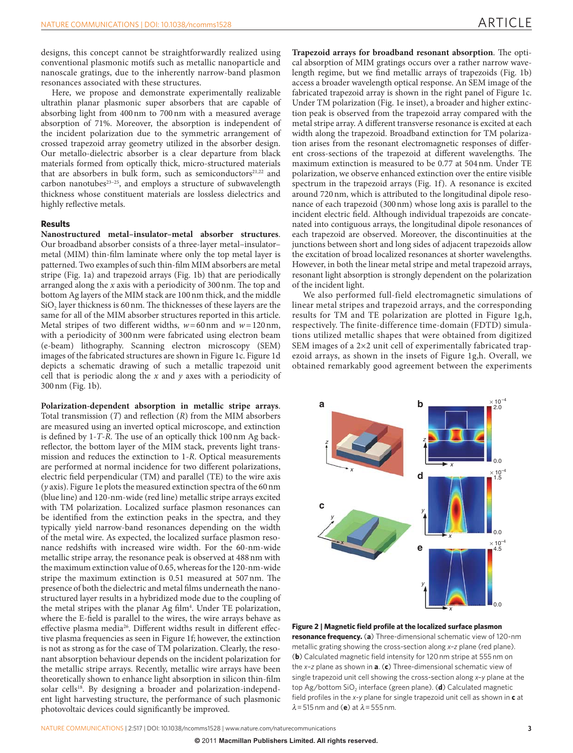designs, this concept cannot be straightforwardly realized using conventional plasmonic motifs such as metallic nanoparticle and nanoscale gratings, due to the inherently narrow-band plasmon resonances associated with these structures.

 Here, we propose and demonstrate experimentally realizable ultrathin planar plasmonic super absorbers that are capable of absorbing light from 400 nm to 700 nm with a measured average absorption of 71%. Moreover, the absorption is independent of the incident polarization due to the symmetric arrangement of crossed trapezoid array geometry utilized in the absorber design. Our metallo-dielectric absorber is a clear departure from black materials formed from optically thick, micro-structured materials that are absorbers in bulk form, such as semiconductors<sup>21,22</sup> and carbon nanotubes $33-25$ , and employs a structure of subwavelength thickness whose constituent materials are lossless dielectrics and highly reflective metals.

#### **Results**

Nanostructured metal-insulator-metal absorber structures. Our broadband absorber consists of a three-layer metal – insulator – metal (MIM) thin-film laminate where only the top metal layer is patterned. Two examples of such thin-film MIM absorbers are metal stripe (Fig. 1a) and trapezoid arrays (Fig. 1b) that are periodically arranged along the  $x$  axis with a periodicity of  $300 \text{ nm}$ . The top and bottom Ag layers of the MIM stack are 100 nm thick, and the middle SiO<sub>2</sub> layer thickness is 60 nm. The thicknesses of these layers are the same for all of the MIM absorber structures reported in this article. Metal stripes of two different widths,  $w = 60$  nm and  $w = 120$  nm, with a periodicity of 300 nm were fabricated using electron beam (e-beam) lithography. Scanning electron microscopy (SEM) images of the fabricated structures are shown in Figure 1c. Figure 1d depicts a schematic drawing of such a metallic trapezoid unit cell that is periodic along the *x* and *y* axes with a periodicity of 300 nm (Fig. 1b).

**Polarization-dependent absorption in metallic stripe arrays** . Total transmission  $(T)$  and reflection  $(R)$  from the MIM absorbers are measured using an inverted optical microscope, and extinction is defined by 1-*T*-*R*. The use of an optically thick 100 nm Ag backreflector, the bottom layer of the MIM stack, prevents light transmission and reduces the extinction to 1-R. Optical measurements are performed at normal incidence for two different polarizations, electric field perpendicular (TM) and parallel (TE) to the wire axis ( *y* axis). Figure 1e plots the measured extinction spectra of the 60 nm (blue line) and 120-nm-wide (red line) metallic stripe arrays excited with TM polarization. Localized surface plasmon resonances can be identified from the extinction peaks in the spectra, and they typically yield narrow-band resonances depending on the width of the metal wire. As expected, the localized surface plasmon resonance redshifts with increased wire width. For the 60-nm-wide metallic stripe array, the resonance peak is observed at 488 nm with the maximum extinction value of 0.65, whereas for the 120-nm-wide stripe the maximum extinction is 0.51 measured at 507 nm. The presence of both the dielectric and metal films underneath the nanostructured layer results in a hybridized mode due to the coupling of the metal stripes with the planar Ag film<sup>4</sup>. Under TE polarization, where the E-field is parallel to the wires, the wire arrays behave as effective plasma media<sup>26</sup>. Different widths result in different effective plasma frequencies as seen in Figure 1f; however, the extinction is not as strong as for the case of TM polarization. Clearly, the resonant absorption behaviour depends on the incident polarization for the metallic stripe arrays. Recently, metallic wire arrays have been theoretically shown to enhance light absorption in silicon thin-film solar cells<sup>18</sup>. By designing a broader and polarization-independent light harvesting structure, the performance of such plasmonic photovoltaic devices could significantly be improved.

Trapezoid arrays for broadband resonant absorption. The optical absorption of MIM gratings occurs over a rather narrow wavelength regime, but we find metallic arrays of trapezoids (Fig. 1b) access a broader wavelength optical response. An SEM image of the fabricated trapezoid array is shown in the right panel of Figure 1c. Under TM polarization (Fig. 1e inset), a broader and higher extinction peak is observed from the trapezoid array compared with the metal stripe array. A different transverse resonance is excited at each width along the trapezoid. Broadband extinction for TM polarization arises from the resonant electromagnetic responses of different cross-sections of the trapezoid at different wavelengths. The maximum extinction is measured to be 0.77 at 504 nm. Under TE polarization, we observe enhanced extinction over the entire visible spectrum in the trapezoid arrays (Fig. 1f). A resonance is excited around 720 nm, which is attributed to the longitudinal dipole resonance of each trapezoid (300 nm) whose long axis is parallel to the incident electric field. Although individual trapezoids are concatenated into contiguous arrays, the longitudinal dipole resonances of each trapezoid are observed. Moreover, the discontinuities at the junctions between short and long sides of adjacent trapezoids allow the excitation of broad localized resonances at shorter wavelengths. However, in both the linear metal stripe and metal trapezoid arrays, resonant light absorption is strongly dependent on the polarization of the incident light.

 We also performed full-field electromagnetic simulations of linear metal stripes and trapezoid arrays, and the corresponding results for TM and TE polarization are plotted in Figure 1g,h, respectively. The finite-difference time-domain (FDTD) simulations utilized metallic shapes that were obtained from digitized SEM images of a  $2\times2$  unit cell of experimentally fabricated trapezoid arrays, as shown in the insets of Figure 1g,h . Overall, we obtained remarkably good agreement between the experiments



**Figure 2 | Magnetic field profile at the localized surface plasmon resonance frequency.** (a) Three-dimensional schematic view of 120-nm metallic grating showing the cross-section along x-z plane (red plane). (b) Calculated magnetic field intensity for 120 nm stripe at 555 nm on the *x*-*z* plane as shown in **a**. (c) Three-dimensional schematic view of single trapezoid unit cell showing the cross-section along x-y plane at the top Ag/bottom SiO<sub>2</sub> interface (green plane). (d) Calculated magnetic field profiles in the *x*-*y* plane for single trapezoid unit cell as shown in **c** at  $\lambda$  = 515 nm and (**e**) at  $\lambda$  = 555 nm.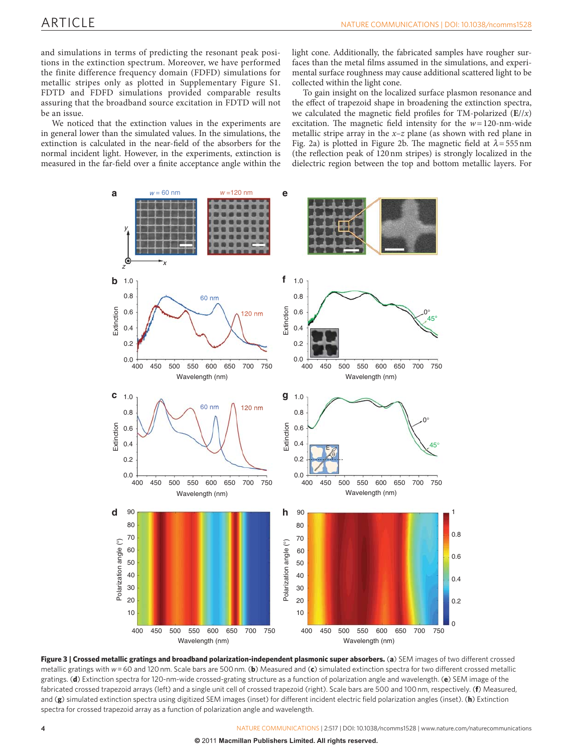and simulations in terms of predicting the resonant peak positions in the extinction spectrum. Moreover, we have performed the finite difference frequency domain (FDFD) simulations for metallic stripes only as plotted in Supplementary Figure S1. FDTD and FDFD simulations provided comparable results assuring that the broadband source excitation in FDTD will not be an issue.

 We noticed that the extinction values in the experiments are in general lower than the simulated values. In the simulations, the extinction is calculated in the near-field of the absorbers for the normal incident light. However, in the experiments, extinction is measured in the far-field over a finite acceptance angle within the light cone. Additionally, the fabricated samples have rougher surfaces than the metal films assumed in the simulations, and experimental surface roughness may cause additional scattered light to be collected within the light cone.

 To gain insight on the localized surface plasmon resonance and the effect of trapezoid shape in broadening the extinction spectra, we calculated the magnetic field profiles for TM-polarized  $(E//x)$ excitation. The magnetic field intensity for the  $w = 120$ -nm-wide metallic stripe array in the *x*-*z* plane (as shown with red plane in Fig. 2a) is plotted in Figure 2b. The magnetic field at  $\lambda = 555$  nm (the reflection peak of 120 nm stripes) is strongly localized in the dielectric region between the top and bottom metallic layers. For



Figure 3 | Crossed metallic gratings and broadband polarization-independent plasmonic super absorbers. (a) SEM images of two different crossed metallic gratings with *w* = 60 and 120 nm. Scale bars are 500 nm. ( **b** ) Measured and ( **c** ) simulated extinction spectra for two different crossed metallic gratings. (d) Extinction spectra for 120-nm-wide crossed-grating structure as a function of polarization angle and wavelength. (e) SEM image of the fabricated crossed trapezoid arrays (left) and a single unit cell of crossed trapezoid (right). Scale bars are 500 and 100 nm, respectively. (**f**) Measured, and (g) simulated extinction spectra using digitized SEM images (inset) for different incident electric field polarization angles (inset). (h) Extinction spectra for crossed trapezoid array as a function of polarization angle and wavelength.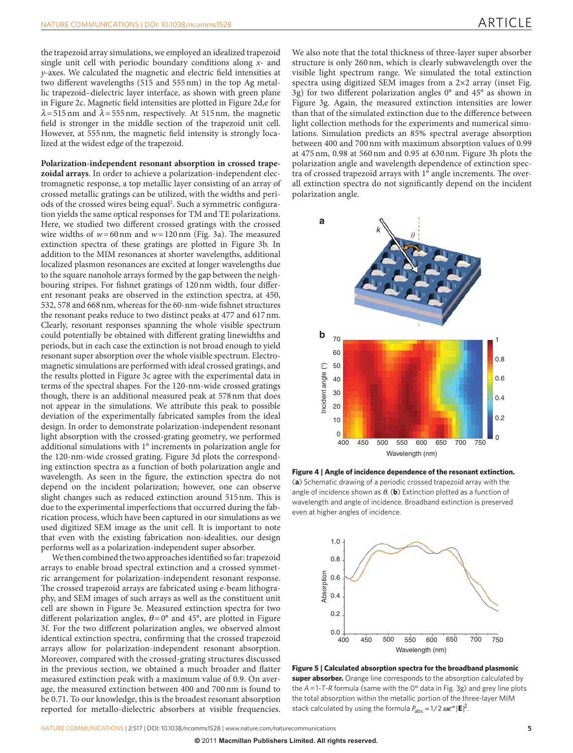### ARTICLE

the trapezoid array simulations, we employed an idealized trapezoid single unit cell with periodic boundary conditions along *x-* and *y*-axes. We calculated the magnetic and electric field intensities at two different wavelengths (515 and 555 nm) in the top Ag metallic trapezoid – dielectric layer interface, as shown with green plane in Figure 2c. Magnetic field intensities are plotted in Figure 2d,e for  $\lambda$ =515 nm and  $\lambda$ =555 nm, respectively. At 515 nm, the magnetic field is stronger in the middle section of the trapezoid unit cell. However, at 555 nm, the magnetic field intensity is strongly localized at the widest edge of the trapezoid.

**Polarization-independent resonant absorption in crossed trapezoidal arrays** . In order to achieve a polarization-independent electromagnetic response, a top metallic layer consisting of an array of crossed metallic gratings can be utilized, with the widths and periods of the crossed wires being equal<sup>2</sup>. Such a symmetric configuration yields the same optical responses for TM and TE polarizations. Here, we studied two different crossed gratings with the crossed wire widths of  $w = 60$  nm and  $w = 120$  nm (Fig. 3a). The measured extinction spectra of these gratings are plotted in Figure 3b. In addition to the MIM resonances at shorter wavelengths, additional localized plasmon resonances are excited at longer wavelengths due to the square nanohole arrays formed by the gap between the neighbouring stripes. For fishnet gratings of 120 nm width, four different resonant peaks are observed in the extinction spectra, at 450, 532, 578 and 668 nm, whereas for the 60-nm-wide fishnet structures the resonant peaks reduce to two distinct peaks at 477 and 617 nm. Clearly, resonant responses spanning the whole visible spectrum could potentially be obtained with different grating linewidths and periods, but in each case the extinction is not broad enough to yield resonant super absorption over the whole visible spectrum. Electromagnetic simulations are performed with ideal crossed gratings, and the results plotted in Figure 3c agree with the experimental data in terms of the spectral shapes. For the 120-nm-wide crossed gratings though, there is an additional measured peak at 578 nm that does not appear in the simulations. We attribute this peak to possible deviation of the experimentally fabricated samples from the ideal design. In order to demonstrate polarization-independent resonant light absorption with the crossed-grating geometry, we performed additional simulations with 1° increments in polarization angle for the 120-nm-wide crossed grating. Figure 3d plots the corresponding extinction spectra as a function of both polarization angle and wavelength. As seen in the figure, the extinction spectra do not depend on the incident polarization; however, one can observe slight changes such as reduced extinction around 515 nm. This is due to the experimental imperfections that occurred during the fabrication process, which have been captured in our simulations as we used digitized SEM image as the unit cell. It is important to note that even with the existing fabrication non-idealities, our design performs well as a polarization-independent super absorber.

We then combined the two approaches identified so far: trapezoid arrays to enable broad spectral extinction and a crossed symmetric arrangement for polarization-independent resonant response. The crossed trapezoid arrays are fabricated using e-beam lithography, and SEM images of such arrays as well as the constituent unit cell are shown in Figure 3e . Measured extinction spectra for two different polarization angles,  $\theta = 0^{\circ}$  and 45°, are plotted in Figure 3f. For the two different polarization angles, we observed almost identical extinction spectra, confirming that the crossed trapezoid arrays allow for polarization-independent resonant absorption. Moreover, compared with the crossed-grating structures discussed in the previous section, we obtained a much broader and flatter measured extinction peak with a maximum value of 0.9. On average, the measured extinction between 400 and 700 nm is found to be 0.71. To our knowledge, this is the broadest resonant absorption reported for metallo-dielectric absorbers at visible frequencies.

We also note that the total thickness of three-layer super absorber structure is only 260 nm, which is clearly subwavelength over the visible light spectrum range. We simulated the total extinction spectra using digitized SEM images from a  $2\times 2$  array (inset Fig. 3g) for two different polarization angles  $0^{\circ}$  and  $45^{\circ}$  as shown in Figure 3g. Again, the measured extinction intensities are lower than that of the simulated extinction due to the difference between light collection methods for the experiments and numerical simulations. Simulation predicts an 85% spectral average absorption between 400 and 700 nm with maximum absorption values of 0.99 at 475 nm, 0.98 at 560 nm and 0.95 at 630 nm. Figure 3h plots the polarization angle and wavelength dependence of extinction spectra of crossed trapezoid arrays with 1° angle increments. The overall extinction spectra do not significantly depend on the incident polarization angle.



 **Figure 4 | Angle of incidence dependence of the resonant extinction.** (a) Schematic drawing of a periodic crossed trapezoid array with the angle of incidence shown as  $\theta$ . (**b**) Extinction plotted as a function of wavelength and angle of incidence. Broadband extinction is preserved even at higher angles of incidence.



 **Figure 5 | Calculated absorption spectra for the broadband plasmonic super absorber.** Orange line corresponds to the absorption calculated by the A = 1-T-R formula (same with the 0° data in Fig. 3g) and grey line plots the total absorption within the metallic portion of the three-layer MIM stack calculated by using the formula  $P_{\text{abs}} = 1/2 \omega \varepsilon'' |\mathbf{E}|^2$ .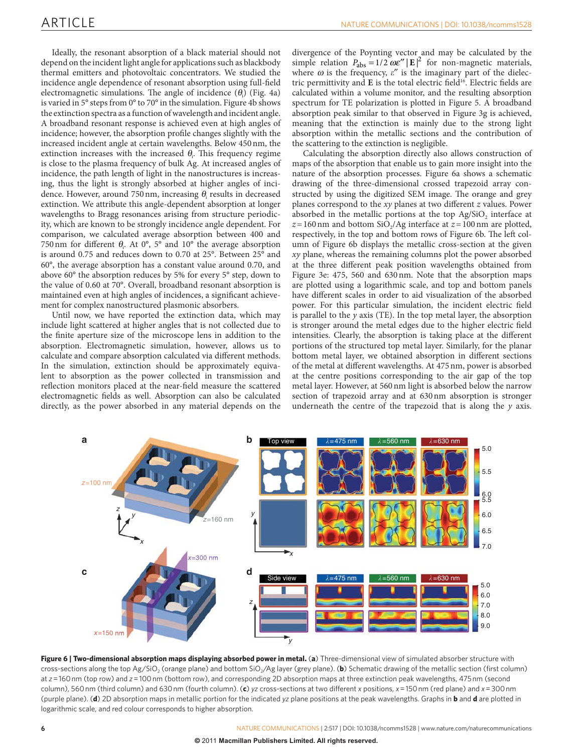Ideally, the resonant absorption of a black material should not depend on the incident light angle for applications such as blackbody thermal emitters and photovoltaic concentrators. We studied the incidence angle dependence of resonant absorption using full-field electromagnetic simulations. The angle of incidence  $(\theta_i)$  (Fig. 4a) is varied in  $5^\circ$  steps from  $0^\circ$  to  $70^\circ$  in the simulation. Figure 4b shows the extinction spectra as a function of wavelength and incident angle. A broadband resonant response is achieved even at high angles of incidence; however, the absorption profile changes slightly with the increased incident angle at certain wavelengths. Below 450 nm, the extinction increases with the increased  $\theta_i$ . This frequency regime is close to the plasma frequency of bulk Ag. At increased angles of incidence, the path length of light in the nanostructures is increasing, thus the light is strongly absorbed at higher angles of incidence. However, around 750 nm, increasing  $\theta_{\text{i}}$  results in decreased extinction. We attribute this angle-dependent absorption at longer wavelengths to Bragg resonances arising from structure periodicity, which are known to be strongly incidence angle dependent. For comparison, we calculated average absorption between 400 and 750 nm for different  $\theta_i$ . At 0°, 5° and 10° the average absorption is around 0.75 and reduces down to 0.70 at 25°. Between 25° and 60 ° , the average absorption has a constant value around 0.70, and above 60° the absorption reduces by 5% for every 5° step, down to the value of 0.60 at 70°. Overall, broadband resonant absorption is maintained even at high angles of incidences, a significant achievement for complex nanostructured plasmonic absorbers.

 Until now, we have reported the extinction data, which may include light scattered at higher angles that is not collected due to the finite aperture size of the microscope lens in addition to the absorption. Electromagnetic simulation, however, allows us to calculate and compare absorption calculated via different methods. In the simulation, extinction should be approximately equivalent to absorption as the power collected in transmission and reflection monitors placed at the near-field measure the scattered electromagnetic fields as well. Absorption can also be calculated directly, as the power absorbed in any material depends on the divergence of the Poynting vector and may be calculated by the simple relation  $P_{\text{abs}} = 1/2 \omega \varepsilon'' |\mathbf{E}|^2$  for non-magnetic materials, where  $\omega$  is the frequency,  $\varepsilon''$  is the imaginary part of the dielectric permittivity and **E** is the total electric field<sup>16</sup>. Electric fields are calculated within a volume monitor, and the resulting absorption spectrum for TE polarization is plotted in Figure 5 . A broadband absorption peak similar to that observed in Figure 3g is achieved, meaning that the extinction is mainly due to the strong light absorption within the metallic sections and the contribution of the scattering to the extinction is negligible.

 Calculating the absorption directly also allows construction of maps of the absorption that enable us to gain more insight into the nature of the absorption processes. Figure 6a shows a schematic drawing of the three-dimensional crossed trapezoid array constructed by using the digitized SEM image. The orange and grey planes correspond to the *xy* planes at two different *z* values. Power absorbed in the metallic portions at the top Ag/SiO<sub>2</sub> interface at  $z=160$  nm and bottom SiO<sub>2</sub>/Ag interface at  $z=100$  nm are plotted, respectively, in the top and bottom rows of Figure 6b. The left column of Figure 6b displays the metallic cross-section at the given *xy* plane, whereas the remaining columns plot the power absorbed at the three different peak position wavelengths obtained from Figure 3e: 475, 560 and 630 nm. Note that the absorption maps are plotted using a logarithmic scale, and top and bottom panels have different scales in order to aid visualization of the absorbed power. For this particular simulation, the incident electric field is parallel to the *y* axis (TE). In the top metal layer, the absorption is stronger around the metal edges due to the higher electric field intensities. Clearly, the absorption is taking place at the different portions of the structured top metal layer. Similarly, for the planar bottom metal layer, we obtained absorption in different sections of the metal at different wavelengths. At 475 nm, power is absorbed at the centre positions corresponding to the air gap of the top metal layer. However, at 560 nm light is absorbed below the narrow section of trapezoid array and at 630 nm absorption is stronger underneath the centre of the trapezoid that is along the  $\nu$  axis.



**Figure 6 | Two-dimensional absorption maps displaying absorbed power in metal. (a) Three-dimensional view of simulated absorber structure with** cross-sections along the top Ag/SiO<sub>2</sub> (orange plane) and bottom SiO<sub>2</sub>/Ag layer (grey plane). (b) Schematic drawing of the metallic section (first column) at *z* = 160 nm (top row) and *z* = 100 nm (bottom row), and corresponding 2D absorption maps at three extinction peak wavelengths, 475 nm (second column), 560 nm (third column) and 630 nm (fourth column). ( **c** ) *yz* cross-sections at two different *x* positions, *x* = 150 nm (red plane) and *x* = 300 nm (purple plane). ( **d** ) 2D absorption maps in metallic portion for the indicated *yz* plane positions at the peak wavelengths. Graphs in **b** and **d** are plotted in logarithmic scale, and red colour corresponds to higher absorption.